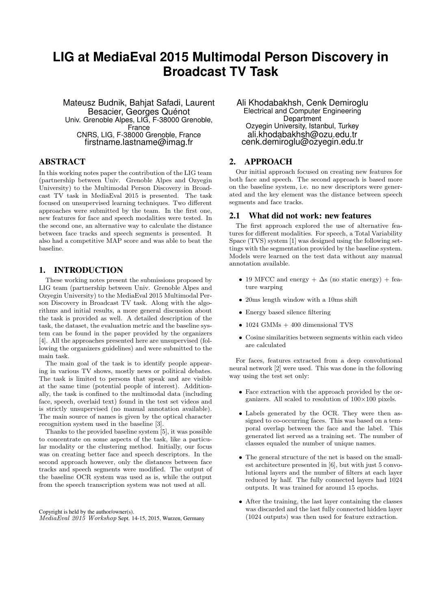# **LIG at MediaEval 2015 Multimodal Person Discovery in Broadcast TV Task**

Mateusz Budnik, Bahjat Safadi, Laurent Besacier, Georges Quénot Univ. Grenoble Alpes, LIG, F-38000 Grenoble, France CNRS, LIG, F-38000 Grenoble, France firstname.lastname@imag.fr

## ABSTRACT

In this working notes paper the contribution of the LIG team (partnership between Univ. Grenoble Alpes and Ozyegin University) to the Multimodal Person Discovery in Broadcast TV task in MediaEval 2015 is presented. The task focused on unsupervised learning techniques. Two different approaches were submitted by the team. In the first one, new features for face and speech modalities were tested. In the second one, an alternative way to calculate the distance between face tracks and speech segments is presented. It also had a competitive MAP score and was able to beat the baseline.

## 1. INTRODUCTION

These working notes present the submissions proposed by LIG team (partnership between Univ. Grenoble Alpes and Ozyegin University) to the MediaEval 2015 Multimodal Person Discovery in Broadcast TV task. Along with the algorithms and initial results, a more general discussion about the task is provided as well. A detailed description of the task, the dataset, the evaluation metric and the baseline system can be found in the paper provided by the organizers [4]. All the approaches presented here are unsupervised (following the organizers guidelines) and were submitted to the main task.

The main goal of the task is to identify people appearing in various TV shows, mostly news or political debates. The task is limited to persons that speak and are visible at the same time (potential people of interest). Additionally, the task is confined to the multimodal data (including face, speech, overlaid text) found in the test set videos and is strictly unsupervised (no manual annotation available). The main source of names is given by the optical character recognition system used in the baseline [3].

Thanks to the provided baseline system [5], it was possible to concentrate on some aspects of the task, like a particular modality or the clustering method. Initially, our focus was on creating better face and speech descriptors. In the second approach however, only the distances between face tracks and speech segments were modified. The output of the baseline OCR system was used as is, while the output from the speech transcription system was not used at all.

Copyright is held by the author/owner(s). MediaEval 2015 Workshop Sept. 14-15, 2015, Wurzen, Germany Ali Khodabakhsh, Cenk Demiroglu Electrical and Computer Engineering **Department** Ozyegin University, Istanbul, Turkey ali.khodabakhsh@ozu.edu.tr cenk.demiroglu@ozyegin.edu.tr

# 2. APPROACH

Our initial approach focused on creating new features for both face and speech. The second approach is based more on the baseline system, i.e. no new descriptors were generated and the key element was the distance between speech segments and face tracks.

#### 2.1 What did not work: new features

The first approach explored the use of alternative features for different modalities. For speech, a Total Variability Space (TVS) system [1] was designed using the following settings with the segmentation provided by the baseline system. Models were learned on the test data without any manual annotation available.

- 19 MFCC and energy  $+ \Delta s$  (no static energy) + feature warping
- 20ms length window with a 10ms shift
- Energy based silence filtering
- $\bullet$  1024 GMMs  $+$  400 dimensional TVS
- Cosine similarities between segments within each video are calculated

For faces, features extracted from a deep convolutional neural network [2] were used. This was done in the following way using the test set only:

- Face extraction with the approach provided by the organizers. All scaled to resolution of  $100\times100$  pixels.
- Labels generated by the OCR. They were then assigned to co-occurring faces. This was based on a temporal overlap between the face and the label. This generated list served as a training set. The number of classes equaled the number of unique names.
- The general structure of the net is based on the smallest architecture presented in [6], but with just 5 convolutional layers and the number of filters at each layer reduced by half. The fully connected layers had 1024 outputs. It was trained for around 15 epochs.
- After the training, the last layer containing the classes was discarded and the last fully connected hidden layer (1024 outputs) was then used for feature extraction.